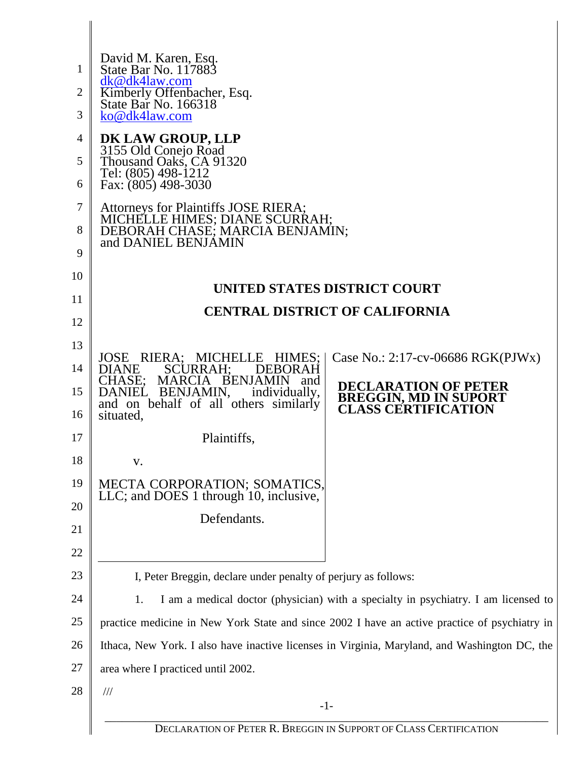| 1  | David M. Karen, Esq.<br>State Bar No. 117883                                                              |                                                                                    |  |  |
|----|-----------------------------------------------------------------------------------------------------------|------------------------------------------------------------------------------------|--|--|
| 2  | dk@dk4law.com                                                                                             |                                                                                    |  |  |
| 3  | Kimberly Offenbacher, Esq.<br>State Bar No. 166318<br>ko@dk4law.com                                       |                                                                                    |  |  |
| 4  |                                                                                                           |                                                                                    |  |  |
| 5  | DK LAW GROUP, LLP<br>3155 Old Conejo Road<br>Thousand Oaks, CA 91320                                      |                                                                                    |  |  |
| 6  | Tel: (805) 498-1212<br>Fax: (805) 498-3030                                                                |                                                                                    |  |  |
| 7  |                                                                                                           |                                                                                    |  |  |
| 8  | Attorneys for Plaintiffs JOSE RIERA;<br>MICHELLE HIMES; DIANE SCURRAH;<br>DEBORAH CHASE; MARCIA BENJAMIN; |                                                                                    |  |  |
| 9  | and DANIEL BENJAMIN                                                                                       |                                                                                    |  |  |
| 10 |                                                                                                           |                                                                                    |  |  |
| 11 |                                                                                                           | <b>UNITED STATES DISTRICT COURT</b>                                                |  |  |
| 12 |                                                                                                           | <b>CENTRAL DISTRICT OF CALIFORNIA</b>                                              |  |  |
| 13 |                                                                                                           |                                                                                    |  |  |
| 14 | JOSE RIERA; MICHELLE HIMES;<br>SCURRAH;<br>DIANE<br><b>DEBORAH</b>                                        | Case No.: $2:17$ -cv-06686 RGK(PJWx)                                               |  |  |
| 15 | CHASE; MARCIA BENJAMIN and<br>DANIEL BENJAMIN,<br>individually,                                           | <b>DECLARATION OF PETER</b><br><b>BREGGIN, MD IN SUPORT</b>                        |  |  |
| 16 | and on behalf of all others similarly<br>situated,                                                        | <b>CLASS CERTIFICATION</b>                                                         |  |  |
| 17 | Plaintiffs,                                                                                               |                                                                                    |  |  |
| 18 | V.                                                                                                        |                                                                                    |  |  |
| 19 | MECTA CORPORATION; SOMATICS,                                                                              |                                                                                    |  |  |
| 20 | LLC; and DOES 1 through 10, inclusive,                                                                    |                                                                                    |  |  |
| 21 | Defendants.                                                                                               |                                                                                    |  |  |
| 22 |                                                                                                           |                                                                                    |  |  |
| 23 | I, Peter Breggin, declare under penalty of perjury as follows:                                            |                                                                                    |  |  |
| 24 | 1.                                                                                                        | I am a medical doctor (physician) with a specialty in psychiatry. I am licensed to |  |  |
| 25 | practice medicine in New York State and since 2002 I have an active practice of psychiatry in             |                                                                                    |  |  |
| 26 | Ithaca, New York. I also have inactive licenses in Virginia, Maryland, and Washington DC, the             |                                                                                    |  |  |
| 27 | area where I practiced until 2002.                                                                        |                                                                                    |  |  |
| 28 | $\frac{1}{1}$                                                                                             |                                                                                    |  |  |
|    | $-1-$                                                                                                     |                                                                                    |  |  |
|    | DECLARATION OF PETER R. BREGGIN IN SUPPORT OF CLASS CERTIFICATION                                         |                                                                                    |  |  |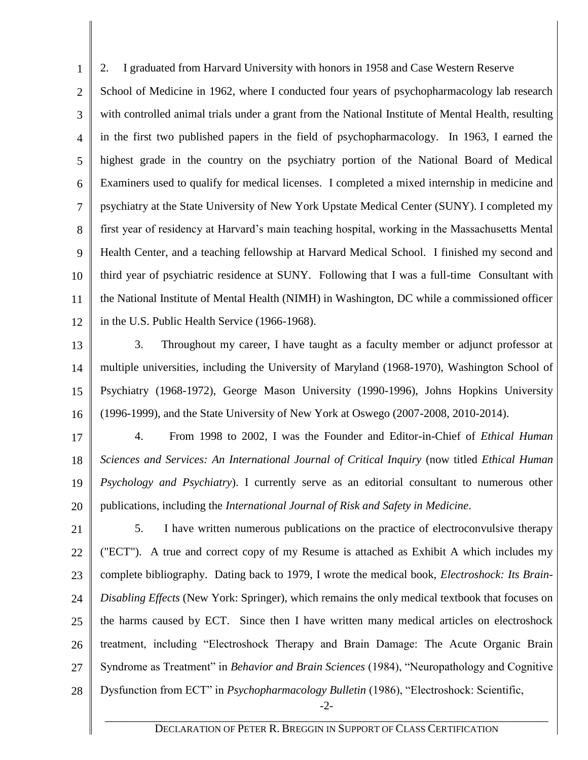1 2 3 4 5 6 7 8 9 10 11 12 2. I graduated from Harvard University with honors in 1958 and Case Western Reserve School of Medicine in 1962, where I conducted four years of psychopharmacology lab research with controlled animal trials under a grant from the National Institute of Mental Health, resulting in the first two published papers in the field of psychopharmacology. In 1963, I earned the highest grade in the country on the psychiatry portion of the National Board of Medical Examiners used to qualify for medical licenses. I completed a mixed internship in medicine and psychiatry at the State University of New York Upstate Medical Center (SUNY). I completed my first year of residency at Harvard's main teaching hospital, working in the Massachusetts Mental Health Center, and a teaching fellowship at Harvard Medical School. I finished my second and third year of psychiatric residence at SUNY. Following that I was a full-time Consultant with the National Institute of Mental Health (NIMH) in Washington, DC while a commissioned officer in the U.S. Public Health Service (1966-1968).

13 14 15 16 3. Throughout my career, I have taught as a faculty member or adjunct professor at multiple universities, including the University of Maryland (1968-1970), Washington School of Psychiatry (1968-1972), George Mason University (1990-1996), Johns Hopkins University (1996-1999), and the State University of New York at Oswego (2007-2008, 2010-2014).

17 18 19 20 4. From 1998 to 2002, I was the Founder and Editor-in-Chief of *Ethical Human Sciences and Services: An International Journal of Critical Inquiry* (now titled *Ethical Human Psychology and Psychiatry*). I currently serve as an editorial consultant to numerous other publications, including the *International Journal of Risk and Safety in Medicine*.

21 22 23 24 25 26 27 28 5. I have written numerous publications on the practice of electroconvulsive therapy ("ECT"). A true and correct copy of my Resume is attached as Exhibit A which includes my complete bibliography. Dating back to 1979, I wrote the medical book, *Electroshock: Its Brain-Disabling Effects* (New York: Springer), which remains the only medical textbook that focuses on the harms caused by ECT. Since then I have written many medical articles on electroshock treatment, including "Electroshock Therapy and Brain Damage: The Acute Organic Brain Syndrome as Treatment" in *Behavior and Brain Sciences* (1984), "Neuropathology and Cognitive Dysfunction from ECT" in *Psychopharmacology Bulletin* (1986), "Electroshock: Scientific,

-2- \_\_\_\_\_\_\_\_\_\_\_\_\_\_\_\_\_\_\_\_\_\_\_\_\_\_\_\_\_\_\_\_\_\_\_\_\_\_\_\_\_\_\_\_\_\_\_\_\_\_\_\_\_\_\_\_\_\_\_\_\_\_\_\_\_\_\_\_\_\_\_\_\_\_\_\_\_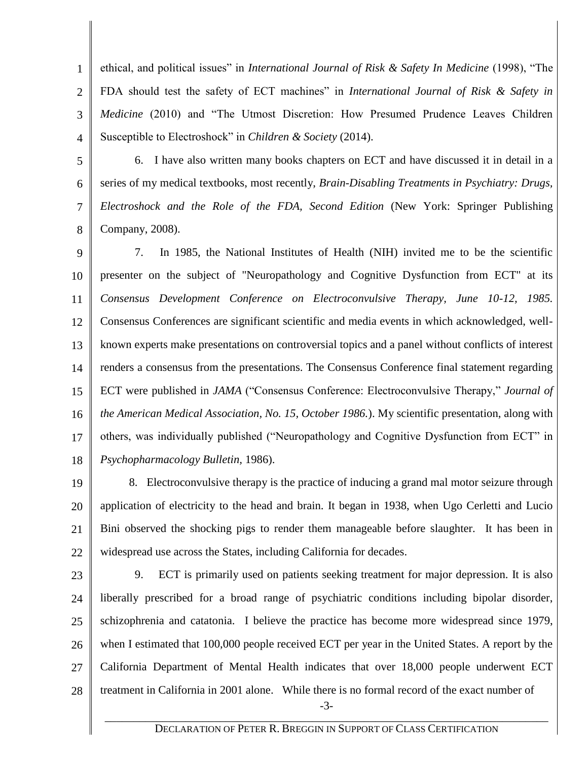1 2 3 4 ethical, and political issues" in *International Journal of Risk & Safety In Medicine* (1998), "The FDA should test the safety of ECT machines" in *International Journal of Risk & Safety in Medicine* (2010) and "The Utmost Discretion: How Presumed Prudence Leaves Children Susceptible to Electroshock" in *Children & Society* (2014).

5

6 7

8

6. I have also written many books chapters on ECT and have discussed it in detail in a series of my medical textbooks, most recently, *Brain-Disabling Treatments in Psychiatry: Drugs, Electroshock and the Role of the FDA, Second Edition* (New York: Springer Publishing Company, 2008).

9 10 11 12 13 14 15 16 17 18 7. In 1985, the National Institutes of Health (NIH) invited me to be the scientific presenter on the subject of "Neuropathology and Cognitive Dysfunction from ECT" at its *Consensus Development Conference on Electroconvulsive Therapy, June 10-12, 1985.*  Consensus Conferences are significant scientific and media events in which acknowledged, wellknown experts make presentations on controversial topics and a panel without conflicts of interest renders a consensus from the presentations. The Consensus Conference final statement regarding ECT were published in *JAMA* ("Consensus Conference: Electroconvulsive Therapy," *Journal of the American Medical Association, No. 15, October 1986.*). My scientific presentation, along with others, was individually published ("Neuropathology and Cognitive Dysfunction from ECT" in *Psychopharmacology Bulletin,* 1986).

19 20 21 22 8. Electroconvulsive therapy is the practice of inducing a grand mal motor seizure through application of electricity to the head and brain. It began in 1938, when Ugo Cerletti and Lucio Bini observed the shocking pigs to render them manageable before slaughter. It has been in widespread use across the States, including California for decades.

23

24 25 26 27 28 -3- 9. ECT is primarily used on patients seeking treatment for major depression. It is also liberally prescribed for a broad range of psychiatric conditions including bipolar disorder, schizophrenia and catatonia. I believe the practice has become more widespread since 1979, when I estimated that 100,000 people received ECT per year in the United States. A report by the California Department of Mental Health indicates that over 18,000 people underwent ECT treatment in California in 2001 alone. While there is no formal record of the exact number of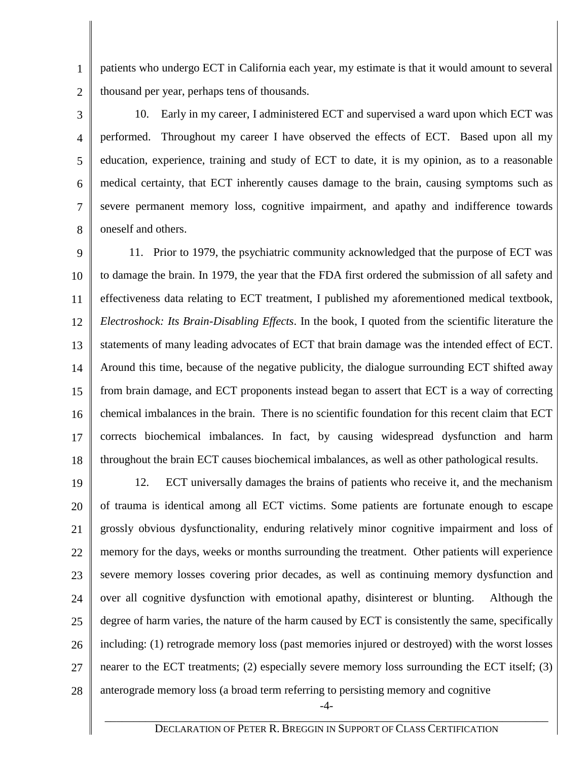1 2 patients who undergo ECT in California each year, my estimate is that it would amount to several thousand per year, perhaps tens of thousands.

3

4

5

6

7

8

 10. Early in my career, I administered ECT and supervised a ward upon which ECT was performed. Throughout my career I have observed the effects of ECT. Based upon all my education, experience, training and study of ECT to date, it is my opinion, as to a reasonable medical certainty, that ECT inherently causes damage to the brain, causing symptoms such as severe permanent memory loss, cognitive impairment, and apathy and indifference towards oneself and others.

9 10 11 12 13 14 15 16 17 18 11. Prior to 1979, the psychiatric community acknowledged that the purpose of ECT was to damage the brain. In 1979, the year that the FDA first ordered the submission of all safety and effectiveness data relating to ECT treatment, I published my aforementioned medical textbook, *Electroshock: Its Brain-Disabling Effects*. In the book, I quoted from the scientific literature the statements of many leading advocates of ECT that brain damage was the intended effect of ECT. Around this time, because of the negative publicity, the dialogue surrounding ECT shifted away from brain damage, and ECT proponents instead began to assert that ECT is a way of correcting chemical imbalances in the brain. There is no scientific foundation for this recent claim that ECT corrects biochemical imbalances. In fact, by causing widespread dysfunction and harm throughout the brain ECT causes biochemical imbalances, as well as other pathological results.

19 20 21 22 23 24 25 26 27 28 12. ECT universally damages the brains of patients who receive it, and the mechanism of trauma is identical among all ECT victims. Some patients are fortunate enough to escape grossly obvious dysfunctionality, enduring relatively minor cognitive impairment and loss of memory for the days, weeks or months surrounding the treatment. Other patients will experience severe memory losses covering prior decades, as well as continuing memory dysfunction and over all cognitive dysfunction with emotional apathy, disinterest or blunting. Although the degree of harm varies, the nature of the harm caused by ECT is consistently the same, specifically including: (1) retrograde memory loss (past memories injured or destroyed) with the worst losses nearer to the ECT treatments; (2) especially severe memory loss surrounding the ECT itself; (3) anterograde memory loss (a broad term referring to persisting memory and cognitive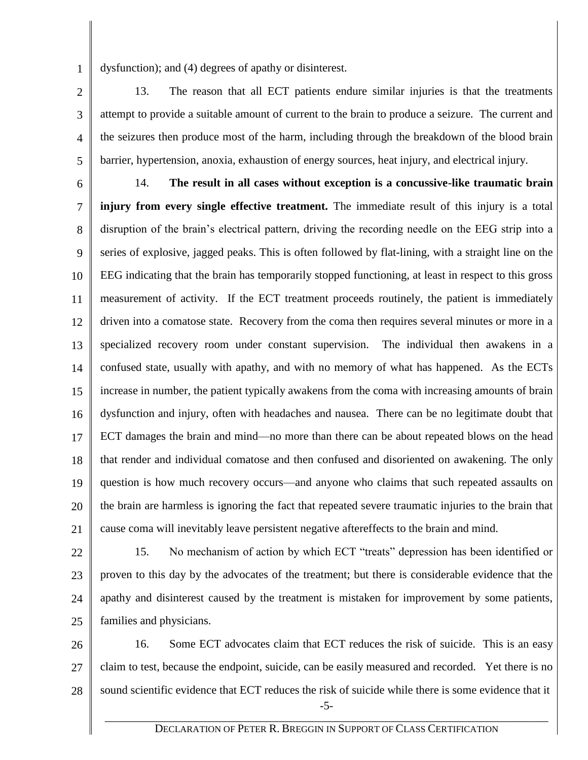1 dysfunction); and (4) degrees of apathy or disinterest.

13. The reason that all ECT patients endure similar injuries is that the treatments attempt to provide a suitable amount of current to the brain to produce a seizure. The current and the seizures then produce most of the harm, including through the breakdown of the blood brain barrier, hypertension, anoxia, exhaustion of energy sources, heat injury, and electrical injury.

2

3

4

5

6 7 8 9 10 11 12 13 14 15 16 17 18 19 20 21 14. **The result in all cases without exception is a concussive-like traumatic brain injury from every single effective treatment.** The immediate result of this injury is a total disruption of the brain's electrical pattern, driving the recording needle on the EEG strip into a series of explosive, jagged peaks. This is often followed by flat-lining, with a straight line on the EEG indicating that the brain has temporarily stopped functioning, at least in respect to this gross measurement of activity. If the ECT treatment proceeds routinely, the patient is immediately driven into a comatose state. Recovery from the coma then requires several minutes or more in a specialized recovery room under constant supervision. The individual then awakens in a confused state, usually with apathy, and with no memory of what has happened. As the ECTs increase in number, the patient typically awakens from the coma with increasing amounts of brain dysfunction and injury, often with headaches and nausea. There can be no legitimate doubt that ECT damages the brain and mind—no more than there can be about repeated blows on the head that render and individual comatose and then confused and disoriented on awakening. The only question is how much recovery occurs—and anyone who claims that such repeated assaults on the brain are harmless is ignoring the fact that repeated severe traumatic injuries to the brain that cause coma will inevitably leave persistent negative aftereffects to the brain and mind.

22

23 24 25 15. No mechanism of action by which ECT "treats" depression has been identified or proven to this day by the advocates of the treatment; but there is considerable evidence that the apathy and disinterest caused by the treatment is mistaken for improvement by some patients, families and physicians.

26 27 28 -5- 16. Some ECT advocates claim that ECT reduces the risk of suicide. This is an easy claim to test, because the endpoint, suicide, can be easily measured and recorded. Yet there is no sound scientific evidence that ECT reduces the risk of suicide while there is some evidence that it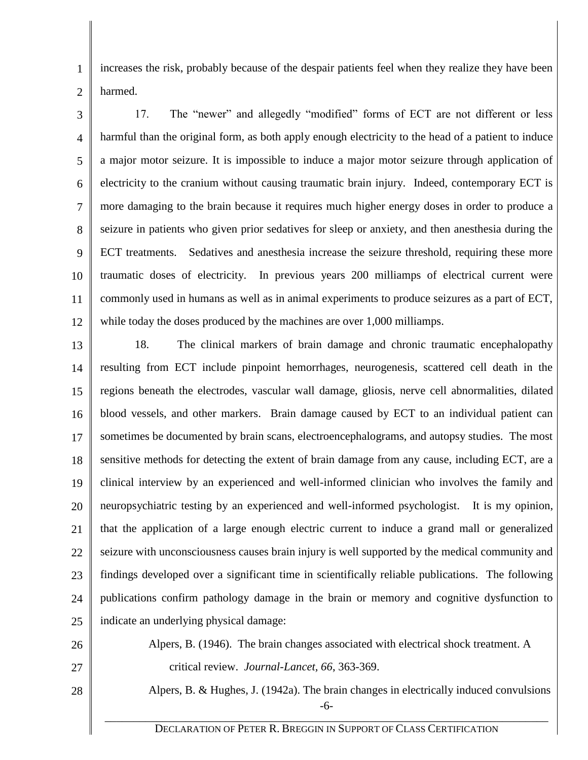1 2 increases the risk, probably because of the despair patients feel when they realize they have been harmed.

3 4 5 6 7 8 9 10 11 12 17. The "newer" and allegedly "modified" forms of ECT are not different or less harmful than the original form, as both apply enough electricity to the head of a patient to induce a major motor seizure. It is impossible to induce a major motor seizure through application of electricity to the cranium without causing traumatic brain injury. Indeed, contemporary ECT is more damaging to the brain because it requires much higher energy doses in order to produce a seizure in patients who given prior sedatives for sleep or anxiety, and then anesthesia during the ECT treatments. Sedatives and anesthesia increase the seizure threshold, requiring these more traumatic doses of electricity. In previous years 200 milliamps of electrical current were commonly used in humans as well as in animal experiments to produce seizures as a part of ECT, while today the doses produced by the machines are over 1,000 milliamps.

13 14 15 16 17 18 19 20 21 22 23 24 25 18. The clinical markers of brain damage and chronic traumatic encephalopathy resulting from ECT include pinpoint hemorrhages, neurogenesis, scattered cell death in the regions beneath the electrodes, vascular wall damage, gliosis, nerve cell abnormalities, dilated blood vessels, and other markers. Brain damage caused by ECT to an individual patient can sometimes be documented by brain scans, electroencephalograms, and autopsy studies. The most sensitive methods for detecting the extent of brain damage from any cause, including ECT, are a clinical interview by an experienced and well-informed clinician who involves the family and neuropsychiatric testing by an experienced and well-informed psychologist. It is my opinion, that the application of a large enough electric current to induce a grand mall or generalized seizure with unconsciousness causes brain injury is well supported by the medical community and findings developed over a significant time in scientifically reliable publications. The following publications confirm pathology damage in the brain or memory and cognitive dysfunction to indicate an underlying physical damage:

26 27 Alpers, B. (1946). The brain changes associated with electrical shock treatment. A critical review. *Journal-Lancet, 66*, 363-369.

28

-6- \_\_\_\_\_\_\_\_\_\_\_\_\_\_\_\_\_\_\_\_\_\_\_\_\_\_\_\_\_\_\_\_\_\_\_\_\_\_\_\_\_\_\_\_\_\_\_\_\_\_\_\_\_\_\_\_\_\_\_\_\_\_\_\_\_\_\_\_\_\_\_\_\_\_\_\_\_ Alpers, B. & Hughes, J. (1942a). The brain changes in electrically induced convulsions

DECLARATION OF PETER R. BREGGIN IN SUPPORT OF CLASS CERTIFICATION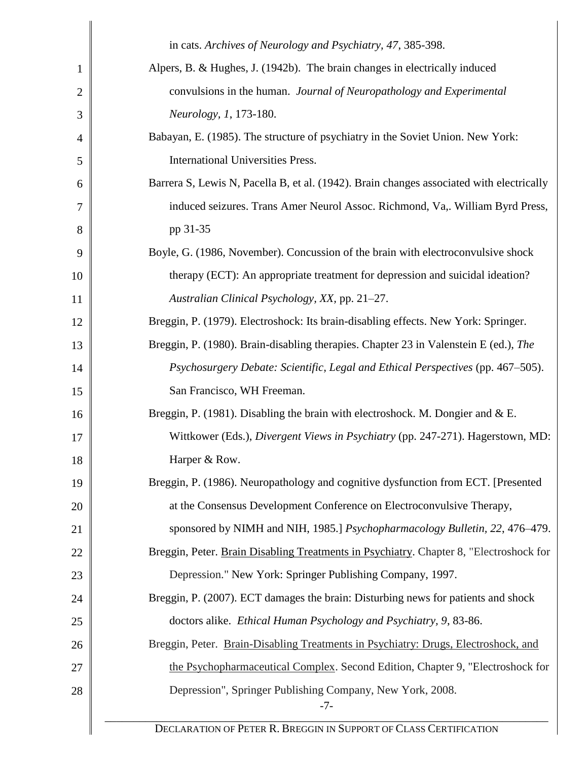|                | in cats. Archives of Neurology and Psychiatry, 47, 385-398.                              |  |
|----------------|------------------------------------------------------------------------------------------|--|
| $\mathbf{1}$   | Alpers, B. & Hughes, J. (1942b). The brain changes in electrically induced               |  |
| $\overline{2}$ | convulsions in the human. Journal of Neuropathology and Experimental                     |  |
| 3              | Neurology, 1, 173-180.                                                                   |  |
| 4              | Babayan, E. (1985). The structure of psychiatry in the Soviet Union. New York:           |  |
| 5              | International Universities Press.                                                        |  |
| 6              | Barrera S, Lewis N, Pacella B, et al. (1942). Brain changes associated with electrically |  |
| 7              | induced seizures. Trans Amer Neurol Assoc. Richmond, Va,. William Byrd Press,            |  |
| 8              | pp 31-35                                                                                 |  |
| 9              | Boyle, G. (1986, November). Concussion of the brain with electroconvulsive shock         |  |
| 10             | therapy (ECT): An appropriate treatment for depression and suicidal ideation?            |  |
| 11             | Australian Clinical Psychology, XX, pp. 21–27.                                           |  |
| 12             | Breggin, P. (1979). Electroshock: Its brain-disabling effects. New York: Springer.       |  |
| 13             | Breggin, P. (1980). Brain-disabling therapies. Chapter 23 in Valenstein E (ed.), The     |  |
| 14             | Psychosurgery Debate: Scientific, Legal and Ethical Perspectives (pp. 467–505).          |  |
| 15             | San Francisco, WH Freeman.                                                               |  |
| 16             | Breggin, P. (1981). Disabling the brain with electroshock. M. Dongier and & E.           |  |
| 17             | Wittkower (Eds.), Divergent Views in Psychiatry (pp. 247-271). Hagerstown, MD:           |  |
| 18             | Harper & Row.                                                                            |  |
| 19             | Breggin, P. (1986). Neuropathology and cognitive dysfunction from ECT. [Presented]       |  |
| 20             | at the Consensus Development Conference on Electroconvulsive Therapy,                    |  |
| 21             | sponsored by NIMH and NIH, 1985.] Psychopharmacology Bulletin, 22, 476–479.              |  |
| 22             | Breggin, Peter. Brain Disabling Treatments in Psychiatry. Chapter 8, "Electroshock for   |  |
| 23             | Depression." New York: Springer Publishing Company, 1997.                                |  |
| 24             | Breggin, P. (2007). ECT damages the brain: Disturbing news for patients and shock        |  |
| 25             | doctors alike. Ethical Human Psychology and Psychiatry, 9, 83-86.                        |  |
| 26             | Breggin, Peter. Brain-Disabling Treatments in Psychiatry: Drugs, Electroshock, and       |  |
| 27             | the Psychopharmaceutical Complex. Second Edition, Chapter 9, "Electroshock for           |  |
| 28             | Depression", Springer Publishing Company, New York, 2008.<br>$-7-$                       |  |
|                | DECLARATION OF PETER R. BREGGIN IN SUPPORT OF CLASS CERTIFICATION                        |  |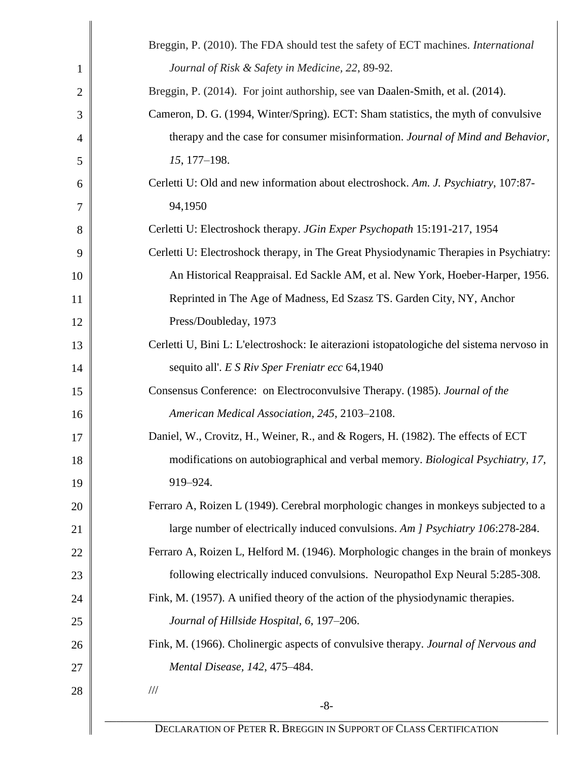|                | Breggin, P. (2010). The FDA should test the safety of ECT machines. International         |  |
|----------------|-------------------------------------------------------------------------------------------|--|
| $\mathbf{1}$   | Journal of Risk & Safety in Medicine, 22, 89-92.                                          |  |
| $\overline{2}$ | Breggin, P. (2014). For joint authorship, see van Daalen-Smith, et al. (2014).            |  |
| 3              | Cameron, D. G. (1994, Winter/Spring). ECT: Sham statistics, the myth of convulsive        |  |
| 4              | therapy and the case for consumer misinformation. Journal of Mind and Behavior,           |  |
| 5              | 15, 177-198.                                                                              |  |
| 6              | Cerletti U: Old and new information about electroshock. Am. J. Psychiatry, 107:87-        |  |
| 7              | 94,1950                                                                                   |  |
| 8              | Cerletti U: Electroshock therapy. JGin Exper Psychopath 15:191-217, 1954                  |  |
| 9              | Cerletti U: Electroshock therapy, in The Great Physiodynamic Therapies in Psychiatry:     |  |
| 10             | An Historical Reappraisal. Ed Sackle AM, et al. New York, Hoeber-Harper, 1956.            |  |
| 11             | Reprinted in The Age of Madness, Ed Szasz TS. Garden City, NY, Anchor                     |  |
| 12             | Press/Doubleday, 1973                                                                     |  |
| 13             | Cerletti U, Bini L: L'electroshock: le aiterazioni istopatologiche del sistema nervoso in |  |
| 14             | sequito all'. E S Riv Sper Freniatr ecc 64,1940                                           |  |
| 15             | Consensus Conference: on Electroconvulsive Therapy. (1985). Journal of the                |  |
| 16             | American Medical Association, 245, 2103-2108.                                             |  |
| 17             | Daniel, W., Crovitz, H., Weiner, R., and & Rogers, H. (1982). The effects of ECT          |  |
| 18             | modifications on autobiographical and verbal memory. Biological Psychiatry, 17,           |  |
| 19             | 919-924.                                                                                  |  |
| 20             | Ferraro A, Roizen L (1949). Cerebral morphologic changes in monkeys subjected to a        |  |
| 21             | large number of electrically induced convulsions. Am J Psychiatry 106:278-284.            |  |
| 22             | Ferraro A, Roizen L, Helford M. (1946). Morphologic changes in the brain of monkeys       |  |
| 23             | following electrically induced convulsions. Neuropathol Exp Neural 5:285-308.             |  |
| 24             | Fink, M. (1957). A unified theory of the action of the physiodynamic therapies.           |  |
| 25             | Journal of Hillside Hospital, 6, 197-206.                                                 |  |
| 26             | Fink, M. (1966). Cholinergic aspects of convulsive therapy. Journal of Nervous and        |  |
| 27             | Mental Disease, 142, 475-484.                                                             |  |
| 28             | $/\!/ \!/$                                                                                |  |
|                | $-8-$                                                                                     |  |
|                | DECLARATION OF PETER R. BREGGIN IN SUPPORT OF CLASS CERTIFICATION                         |  |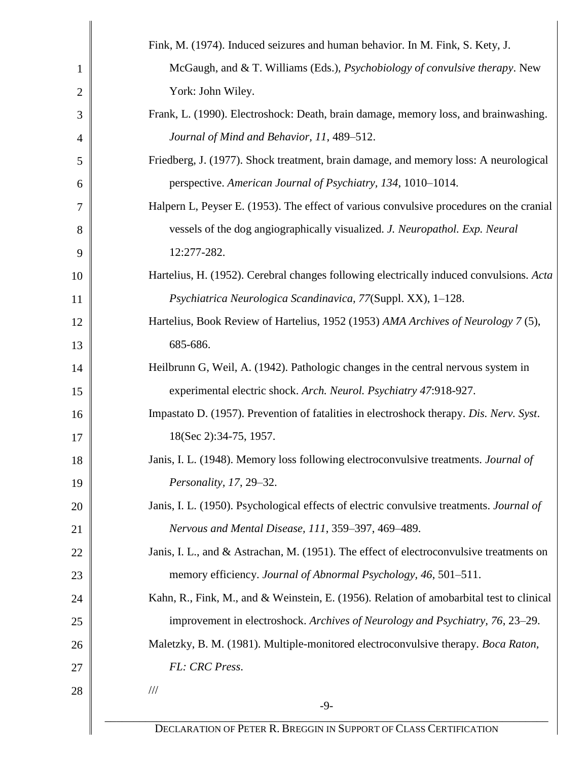|                | Fink, M. (1974). Induced seizures and human behavior. In M. Fink, S. Kety, J.            |
|----------------|------------------------------------------------------------------------------------------|
|                |                                                                                          |
| 1              | McGaugh, and & T. Williams (Eds.), Psychobiology of convulsive therapy. New              |
| $\overline{2}$ | York: John Wiley.                                                                        |
| 3              | Frank, L. (1990). Electroshock: Death, brain damage, memory loss, and brainwashing.      |
| 4              | Journal of Mind and Behavior, 11, 489-512.                                               |
| 5              | Friedberg, J. (1977). Shock treatment, brain damage, and memory loss: A neurological     |
| 6              | perspective. American Journal of Psychiatry, 134, 1010–1014.                             |
| 7              | Halpern L, Peyser E. (1953). The effect of various convulsive procedures on the cranial  |
| 8              | vessels of the dog angiographically visualized. J. Neuropathol. Exp. Neural              |
| 9              | 12:277-282.                                                                              |
| 10             | Hartelius, H. (1952). Cerebral changes following electrically induced convulsions. Acta  |
| 11             | Psychiatrica Neurologica Scandinavica, 77(Suppl. XX), 1-128.                             |
| 12             | Hartelius, Book Review of Hartelius, 1952 (1953) AMA Archives of Neurology 7 (5),        |
| 13             | 685-686.                                                                                 |
| 14             | Heilbrunn G, Weil, A. (1942). Pathologic changes in the central nervous system in        |
| 15             | experimental electric shock. Arch. Neurol. Psychiatry 47:918-927.                        |
| 16             | Impastato D. (1957). Prevention of fatalities in electroshock therapy. Dis. Nerv. Syst.  |
| 17             | 18(Sec 2):34-75, 1957.                                                                   |
| 18             | Janis, I. L. (1948). Memory loss following electroconvulsive treatments. Journal of      |
| 19             | Personality, 17, 29-32.                                                                  |
| 20             | Janis, I. L. (1950). Psychological effects of electric convulsive treatments. Journal of |
| 21             | Nervous and Mental Disease, 111, 359-397, 469-489.                                       |
| 22             | Janis, I. L., and & Astrachan, M. (1951). The effect of electroconvulsive treatments on  |
| 23             | memory efficiency. Journal of Abnormal Psychology, 46, 501–511.                          |
| 24             | Kahn, R., Fink, M., and & Weinstein, E. (1956). Relation of amobarbital test to clinical |
| 25             | improvement in electroshock. Archives of Neurology and Psychiatry, 76, 23–29.            |
| 26             | Maletzky, B. M. (1981). Multiple-monitored electroconvulsive therapy. Boca Raton,        |
| 27             | FL: CRC Press.                                                                           |
| 28             | $\frac{1}{1}$                                                                            |
|                | $-9-$                                                                                    |
|                | DECLARATION OF PETER R. BREGGIN IN SUPPORT OF CLASS CERTIFICATION                        |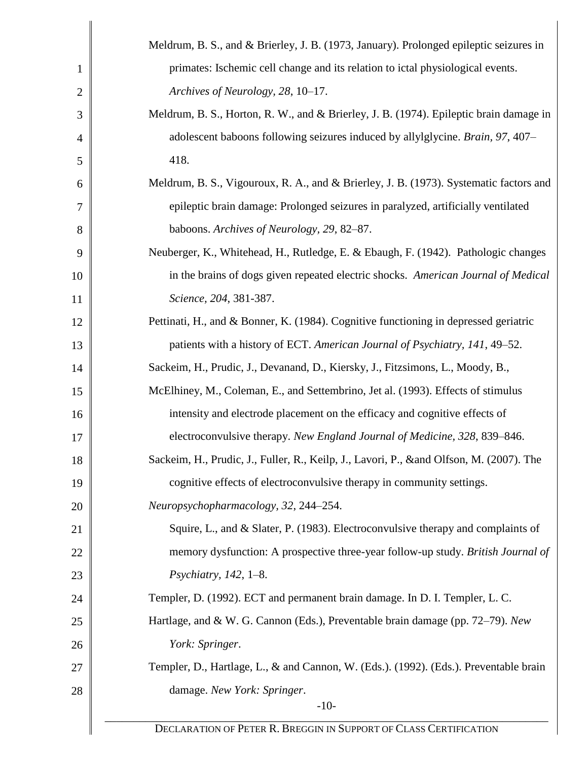|                | Meldrum, B. S., and & Brierley, J. B. (1973, January). Prolonged epileptic seizures in   |
|----------------|------------------------------------------------------------------------------------------|
| $\mathbf{1}$   | primates: Ischemic cell change and its relation to ictal physiological events.           |
| $\overline{2}$ | Archives of Neurology, 28, 10-17.                                                        |
| 3              | Meldrum, B. S., Horton, R. W., and & Brierley, J. B. (1974). Epileptic brain damage in   |
| 4              | adolescent baboons following seizures induced by allylglycine. Brain, 97, 407-           |
| 5              | 418.                                                                                     |
| 6              | Meldrum, B. S., Vigouroux, R. A., and & Brierley, J. B. (1973). Systematic factors and   |
| 7              | epileptic brain damage: Prolonged seizures in paralyzed, artificially ventilated         |
| 8              | baboons. Archives of Neurology, 29, 82-87.                                               |
| 9              | Neuberger, K., Whitehead, H., Rutledge, E. & Ebaugh, F. (1942). Pathologic changes       |
| 10             | in the brains of dogs given repeated electric shocks. American Journal of Medical        |
| 11             | Science, 204, 381-387.                                                                   |
| 12             | Pettinati, H., and & Bonner, K. (1984). Cognitive functioning in depressed geriatric     |
| 13             | patients with a history of ECT. American Journal of Psychiatry, 141, 49-52.              |
| 14             | Sackeim, H., Prudic, J., Devanand, D., Kiersky, J., Fitzsimons, L., Moody, B.,           |
| 15             | McElhiney, M., Coleman, E., and Settembrino, Jet al. (1993). Effects of stimulus         |
| 16             | intensity and electrode placement on the efficacy and cognitive effects of               |
| 17             | electroconvulsive therapy. New England Journal of Medicine, 328, 839–846.                |
| 18             | Sackeim, H., Prudic, J., Fuller, R., Keilp, J., Lavori, P., & and Olfson, M. (2007). The |
| 19             | cognitive effects of electroconvulsive therapy in community settings.                    |
| 20             | Neuropsychopharmacology, 32, 244-254.                                                    |
| 21             | Squire, L., and & Slater, P. (1983). Electroconvulsive therapy and complaints of         |
| 22             | memory dysfunction: A prospective three-year follow-up study. British Journal of         |
| 23             | Psychiatry, $142$ , $1-8$ .                                                              |
| 24             | Templer, D. (1992). ECT and permanent brain damage. In D. I. Templer, L. C.              |
| 25             | Hartlage, and & W. G. Cannon (Eds.), Preventable brain damage (pp. 72–79). New           |
| 26             | York: Springer.                                                                          |
| 27             | Templer, D., Hartlage, L., & and Cannon, W. (Eds.). (1992). (Eds.). Preventable brain    |
| 28             | damage. New York: Springer.                                                              |
|                | $-10-$                                                                                   |
|                | DECLARATION OF PETER R. BREGGIN IN SUPPORT OF CLASS CERTIFICATION                        |

 $\parallel$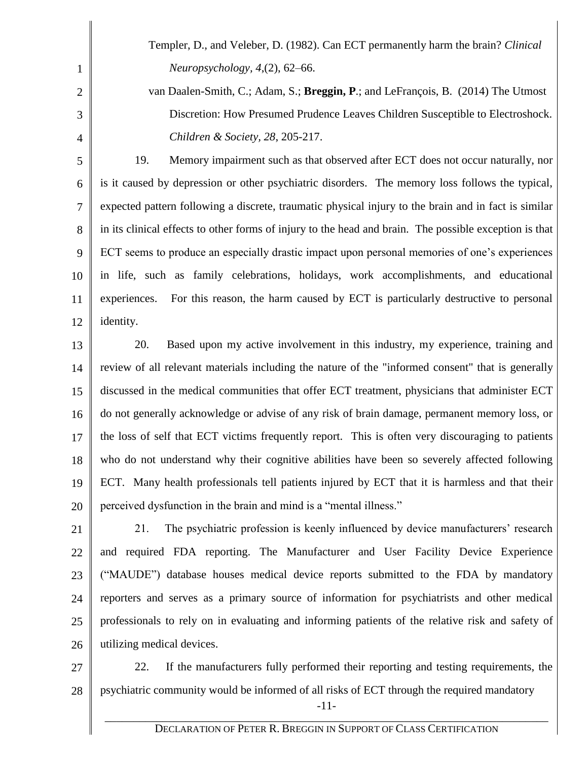Templer, D., and Veleber, D. (1982). Can ECT permanently harm the brain? *Clinical Neuropsychology, 4*,(2), 62–66.

1

2

3

4

van Daalen-Smith, C.; Adam, S.; **Breggin, P**.; and LeFrançois, B. (2014) The Utmost Discretion: How Presumed Prudence Leaves Children Susceptible to Electroshock. *Children & Society, 28*, 205-217.

5 6 7 8 9 10 11 12 19. Memory impairment such as that observed after ECT does not occur naturally, nor is it caused by depression or other psychiatric disorders. The memory loss follows the typical, expected pattern following a discrete, traumatic physical injury to the brain and in fact is similar in its clinical effects to other forms of injury to the head and brain. The possible exception is that ECT seems to produce an especially drastic impact upon personal memories of one's experiences in life, such as family celebrations, holidays, work accomplishments, and educational experiences. For this reason, the harm caused by ECT is particularly destructive to personal identity.

13 14 15 16 17 18 19 20 20. Based upon my active involvement in this industry, my experience, training and review of all relevant materials including the nature of the "informed consent" that is generally discussed in the medical communities that offer ECT treatment, physicians that administer ECT do not generally acknowledge or advise of any risk of brain damage, permanent memory loss, or the loss of self that ECT victims frequently report. This is often very discouraging to patients who do not understand why their cognitive abilities have been so severely affected following ECT. Many health professionals tell patients injured by ECT that it is harmless and that their perceived dysfunction in the brain and mind is a "mental illness."

21 22 23 24 25 26 21. The psychiatric profession is keenly influenced by device manufacturers' research and required FDA reporting. The Manufacturer and User Facility Device Experience ("MAUDE") database houses medical device reports submitted to the FDA by mandatory reporters and serves as a primary source of information for psychiatrists and other medical professionals to rely on in evaluating and informing patients of the relative risk and safety of utilizing medical devices.

27 28 -11- 22. If the manufacturers fully performed their reporting and testing requirements, the psychiatric community would be informed of all risks of ECT through the required mandatory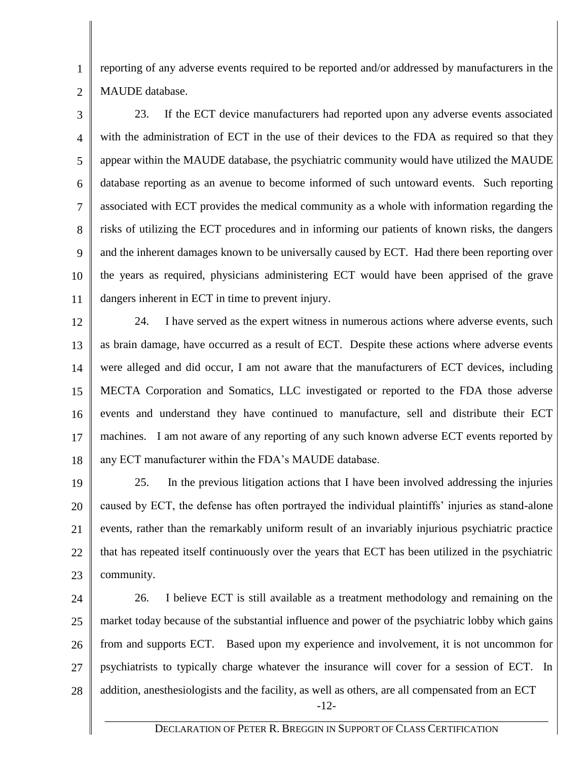1 2 reporting of any adverse events required to be reported and/or addressed by manufacturers in the MAUDE database.

3 4 5 6 7 8 9 10 11 23. If the ECT device manufacturers had reported upon any adverse events associated with the administration of ECT in the use of their devices to the FDA as required so that they appear within the MAUDE database, the psychiatric community would have utilized the MAUDE database reporting as an avenue to become informed of such untoward events. Such reporting associated with ECT provides the medical community as a whole with information regarding the risks of utilizing the ECT procedures and in informing our patients of known risks, the dangers and the inherent damages known to be universally caused by ECT. Had there been reporting over the years as required, physicians administering ECT would have been apprised of the grave dangers inherent in ECT in time to prevent injury.

12 13 14 15 16 17 18 24. I have served as the expert witness in numerous actions where adverse events, such as brain damage, have occurred as a result of ECT. Despite these actions where adverse events were alleged and did occur, I am not aware that the manufacturers of ECT devices, including MECTA Corporation and Somatics, LLC investigated or reported to the FDA those adverse events and understand they have continued to manufacture, sell and distribute their ECT machines. I am not aware of any reporting of any such known adverse ECT events reported by any ECT manufacturer within the FDA's MAUDE database.

19 20 21 22 23 25. In the previous litigation actions that I have been involved addressing the injuries caused by ECT, the defense has often portrayed the individual plaintiffs' injuries as stand-alone events, rather than the remarkably uniform result of an invariably injurious psychiatric practice that has repeated itself continuously over the years that ECT has been utilized in the psychiatric community.

24 25 26 27 28 26. I believe ECT is still available as a treatment methodology and remaining on the market today because of the substantial influence and power of the psychiatric lobby which gains from and supports ECT. Based upon my experience and involvement, it is not uncommon for psychiatrists to typically charge whatever the insurance will cover for a session of ECT. In addition, anesthesiologists and the facility, as well as others, are all compensated from an ECT